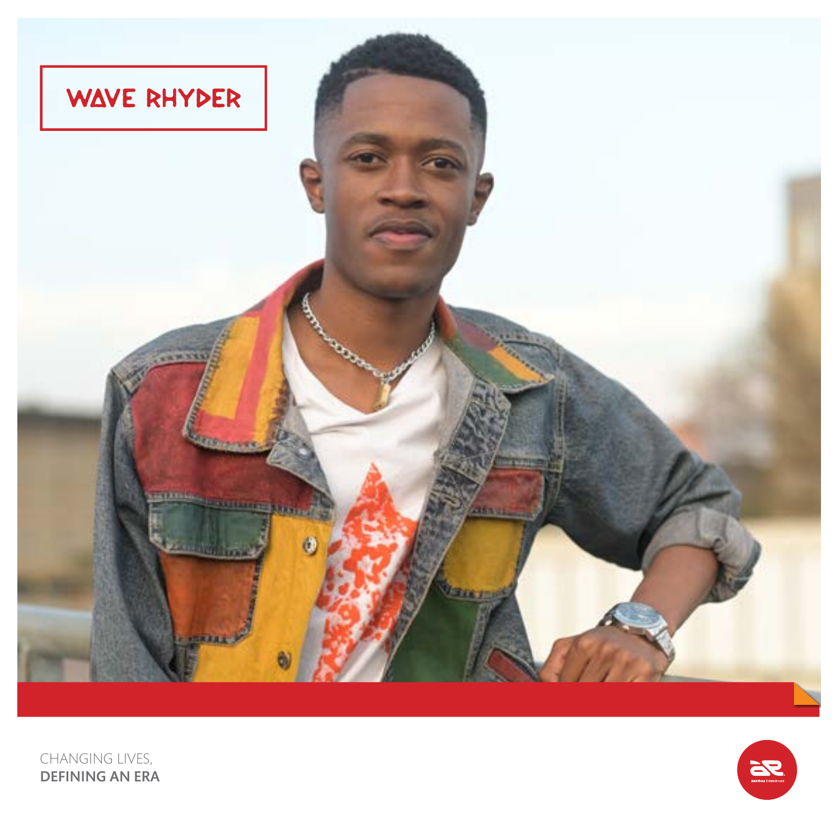



CHANGING LIVES, DEFINING AN ERA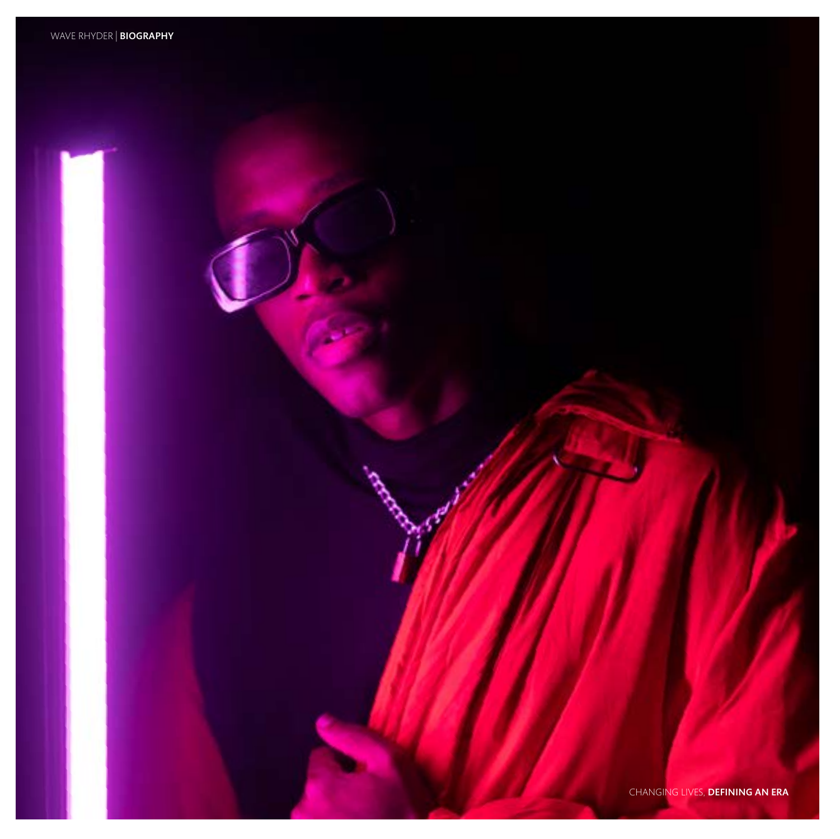CHANGING LIVES, DEFINING AN ERA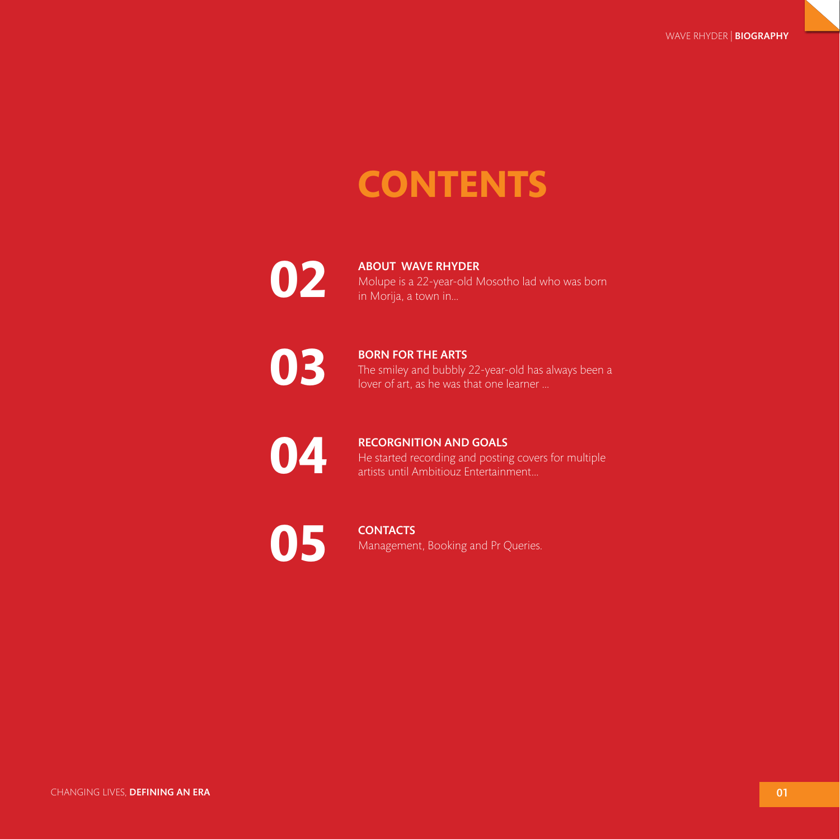## **CONTENTS**



ABOUT WAVE RHYDER Molupe is a 22-year-old Mosotho lad who was born in Morija, a town in...

**03**

BORN FOR THE ARTS The smiley and bubbly 22-year-old has always been a lover of art, as he was that one learner ...

**04**

## RECORGNITION AND GOALS He started recording and posting covers for multiple artists until Ambitiouz Entertainment...

**05**

**CONTACTS** Management, Booking and Pr Queries.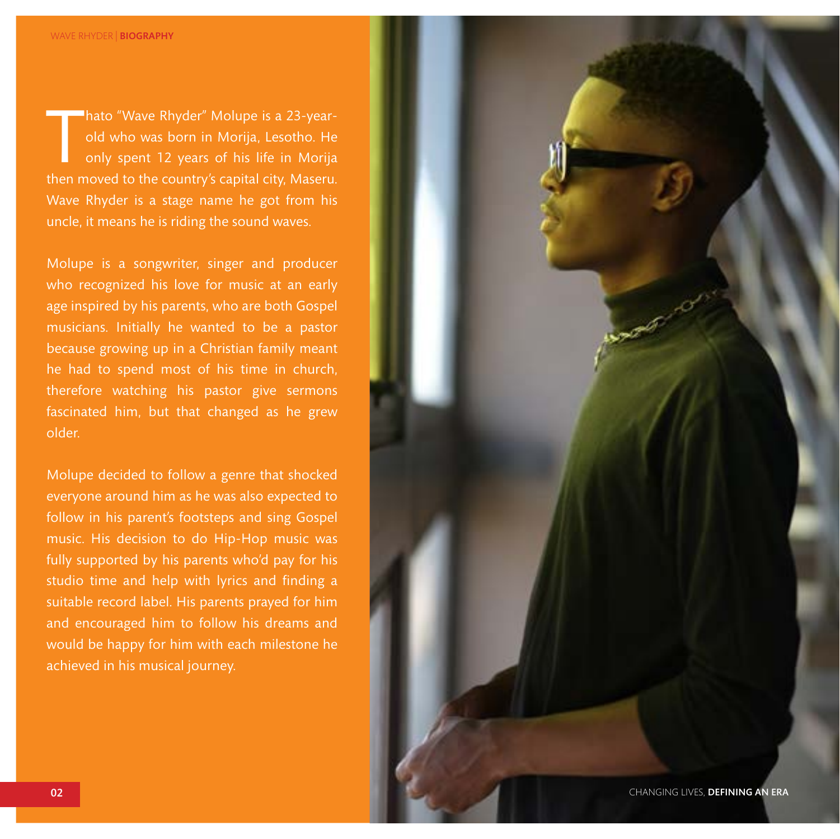hato "Wave Rhyder" Molupe is a 23-year-<br>old who was born in Morija, Lesotho. He<br>only spent 12 years of his life in Morija<br>then moved to the country's capital city, Maseru. hato "Wave Rhyder" Molupe is a 23-yearold who was born in Morija, Lesotho. He only spent 12 years of his life in Morija Wave Rhyder is a stage name he got from his uncle, it means he is riding the sound waves.

Molupe is a songwriter, singer and producer who recognized his love for music at an early age inspired by his parents, who are both Gospel musicians. Initially he wanted to be a pastor because growing up in a Christian family meant he had to spend most of his time in church, therefore watching his pastor give sermons fascinated him, but that changed as he grew older.

Molupe decided to follow a genre that shocked everyone around him as he was also expected to follow in his parent's footsteps and sing Gospel music. His decision to do Hip-Hop music was fully supported by his parents who'd pay for his studio time and help with lyrics and finding a suitable record label. His parents prayed for him and encouraged him to follow his dreams and would be happy for him with each milestone he achieved in his musical journey.

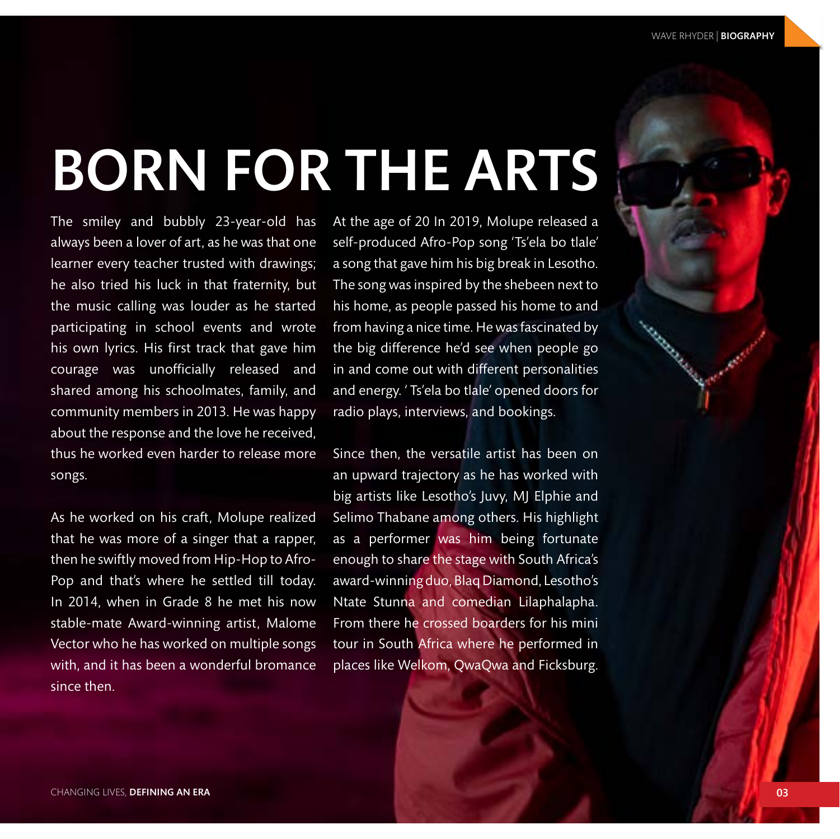## BORN FOR THE ARTS

The smiley and bubbly 23-year-old has always been a lover of art, as he was that one learner every teacher trusted with drawings; he also tried his luck in that fraternity, but the music calling was louder as he started participating in school events and wrote his own lyrics. His first track that gave him courage was unofficially released and shared among his schoolmates, family, and community members in 2013. He was happy about the response and the love he received, thus he worked even harder to release more songs.

As he worked on his craft, Molupe realized that he was more of a singer that a rapper, then he swiftly moved from Hip-Hop to Afro-Pop and that's where he settled till today. In 2014, when in Grade 8 he met his now stable-mate Award-winning artist, Malome Vector who he has worked on multiple songs with, and it has been a wonderful bromance since then.

At the age of 20 In 2019, Molupe released a self-produced Afro-Pop song 'Ts'ela bo tlale' a song that gave him his big break in Lesotho. The song was inspired by the shebeen next to his home, as people passed his home to and from having a nice time. He was fascinated by the big difference he'd see when people go in and come out with different personalities and energy. ' Ts'ela bo tlale' opened doors for radio plays, interviews, and bookings.

Since then, the versatile artist has been on an upward trajectory as he has worked with big artists like Lesotho's Juvy, MJ Elphie and Selimo Thabane among others. His highlight as a performer was him being fortunate enough to share the stage with South Africa's award-winning duo, Blaq Diamond, Lesotho's Ntate Stunna and comedian Lilaphalapha. From there he crossed boarders for his mini tour in South Africa where he performed in places like Welkom, QwaQwa and Ficksburg.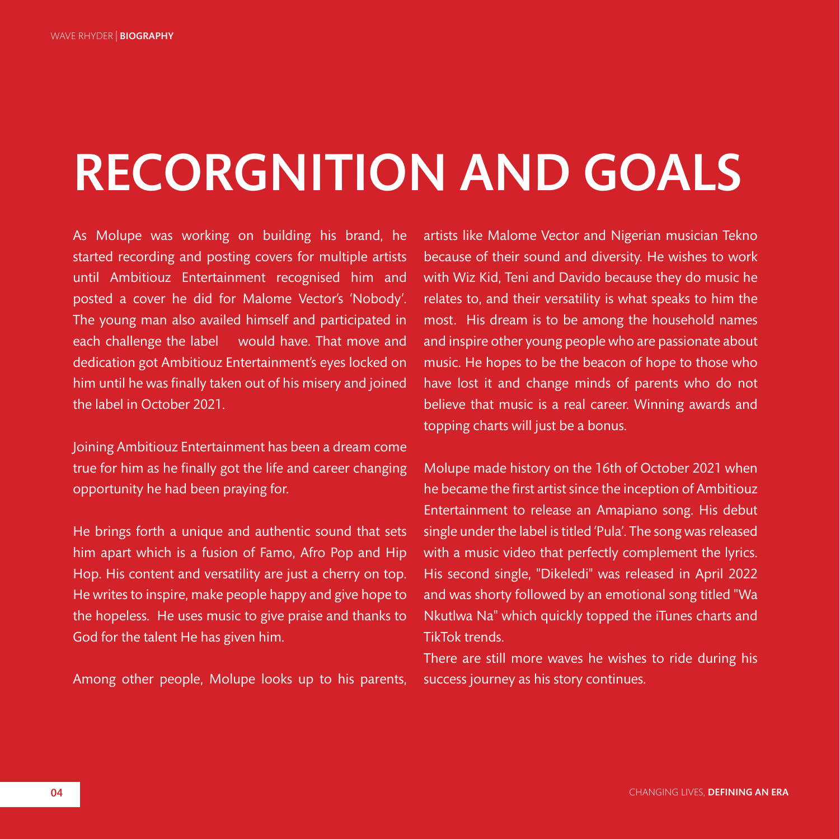## RECORGNITION AND GOALS

As Molupe was working on building his brand, he started recording and posting covers for multiple artists until Ambitiouz Entertainment recognised him and posted a cover he did for Malome Vector's 'Nobody'. The young man also availed himself and participated in each challenge the label would have. That move and dedication got Ambitiouz Entertainment's eyes locked on him until he was finally taken out of his misery and joined the label in October 2021.

Joining Ambitiouz Entertainment has been a dream come true for him as he finally got the life and career changing opportunity he had been praying for.

He brings forth a unique and authentic sound that sets him apart which is a fusion of Famo, Afro Pop and Hip Hop. His content and versatility are just a cherry on top. He writes to inspire, make people happy and give hope to the hopeless. He uses music to give praise and thanks to God for the talent He has given him.

Among other people, Molupe looks up to his parents,

artists like Malome Vector and Nigerian musician Tekno because of their sound and diversity. He wishes to work with Wiz Kid, Teni and Davido because they do music he relates to, and their versatility is what speaks to him the most. His dream is to be among the household names and inspire other young people who are passionate about music. He hopes to be the beacon of hope to those who have lost it and change minds of parents who do not believe that music is a real career. Winning awards and topping charts will just be a bonus.

Molupe made history on the 16th of October 2021 when he became the first artist since the inception of Ambitiouz Entertainment to release an Amapiano song. His debut single under the label is titled 'Pula'. The song was released with a music video that perfectly complement the lyrics. His second single, "Dikeledi" was released in April 2022 and was shorty followed by an emotional song titled "Wa Nkutlwa Na" which quickly topped the iTunes charts and TikTok trends.

There are still more waves he wishes to ride during his success journey as his story continues.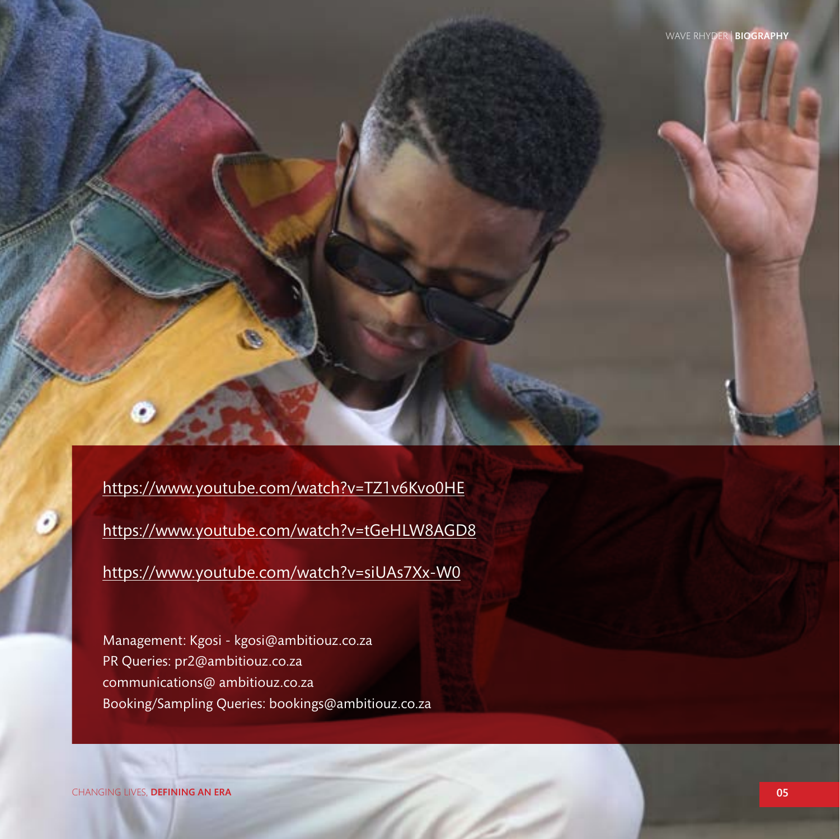[https://www.youtube.com/watch?v=TZ1v6Kvo0HE](https://www.youtube.com/watch?v=TZ1v6Kvo0HE ) [https://www.youtube.com/watch?v=tGeHLW8AGD8](https://www.youtube.com/watch?v=tGeHLW8AGD8 ) [https://www.youtube.com/watch?v=siUAs7Xx-W0](https://www.youtube.com/watch?v=siUAs7Xx-W0 )

Management: Kgosi - kgosi@ambitiouz.co.za PR Queries: pr2@ambitiouz.co.za communications@ ambitiouz.co.za Booking/Sampling Queries: bookings@ambitiouz.co.za